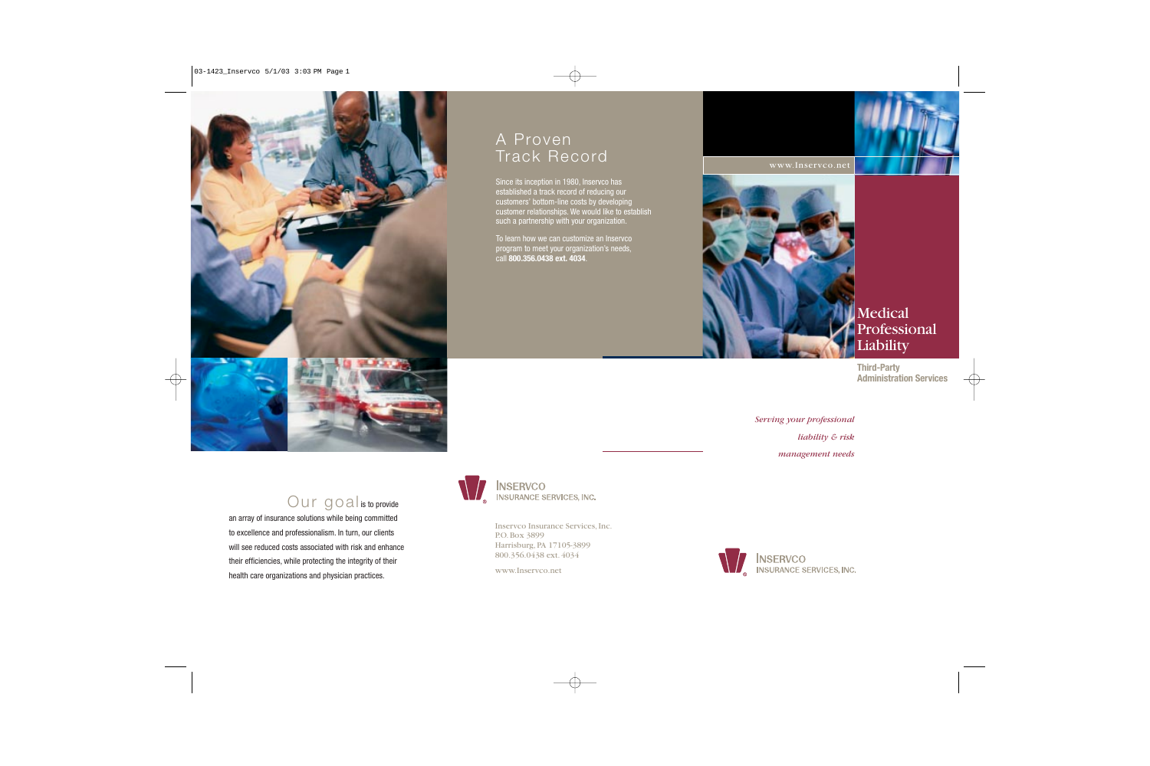

## A Proven Track Record

Since its inception in 1980, Inservco has established a track record of reducing our customers' bottom-line costs by developing customer relationships. We would like to establish such a partnership with your organization.

To learn how we can customize an Inservco program to meet your organization's needs, call **800.356.0438 ext. 4034**.





Medical Professional Liability

**Third-Party Administration Services**

*Serving your professional liability & risk management needs*

## Our goal is to provide

an array of insurance solutions while being committed to excellence and professionalism. In turn, our clients will see reduced costs associated with risk and enhance their efficiencies, while protecting the integrity of their health care organizations and physician practices.



Inservco Insurance Services, Inc. P.O. Box 3899 Harrisburg, PA 17105-3899 800.356.0438 ext. 4034

www.Inservco.net